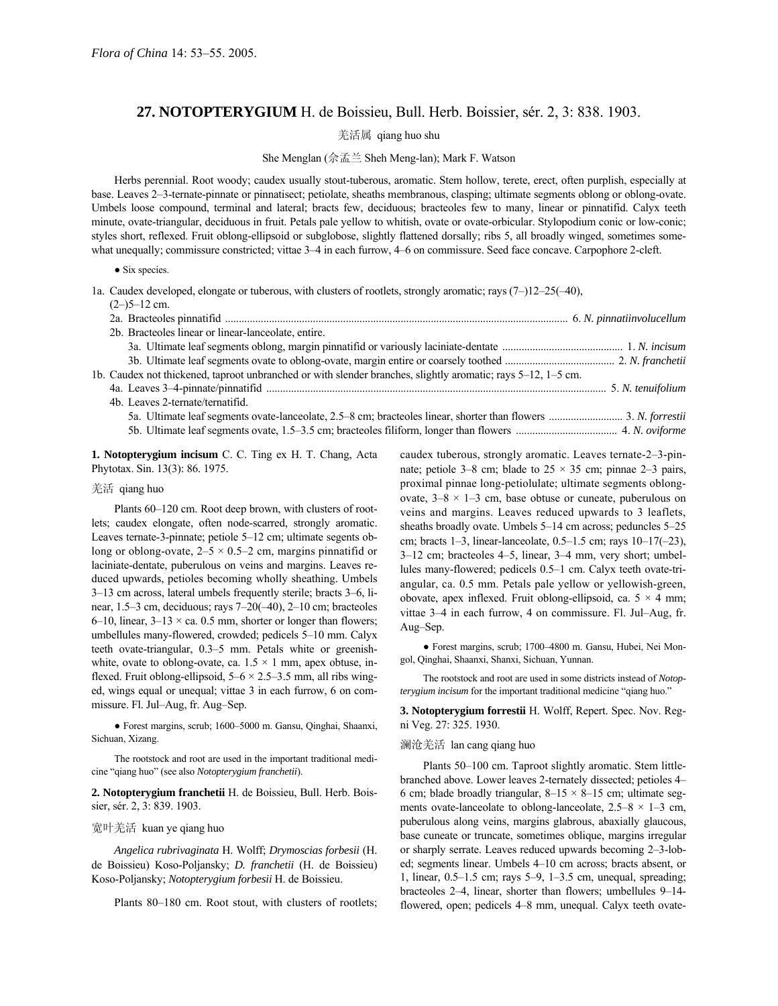# **27. NOTOPTERYGIUM** H. de Boissieu, Bull. Herb. Boissier, sér. 2, 3: 838. 1903.

羌活属 qiang huo shu

## She Menglan (佘孟兰 Sheh Meng-lan); Mark F. Watson

Herbs perennial. Root woody; caudex usually stout-tuberous, aromatic. Stem hollow, terete, erect, often purplish, especially at base. Leaves 2–3-ternate-pinnate or pinnatisect; petiolate, sheaths membranous, clasping; ultimate segments oblong or oblong-ovate. Umbels loose compound, terminal and lateral; bracts few, deciduous; bracteoles few to many, linear or pinnatifid. Calyx teeth minute, ovate-triangular, deciduous in fruit. Petals pale yellow to whitish, ovate or ovate-orbicular. Stylopodium conic or low-conic; styles short, reflexed. Fruit oblong-ellipsoid or subglobose, slightly flattened dorsally; ribs 5, all broadly winged, sometimes somewhat unequally; commissure constricted; vittae 3–4 in each furrow, 4–6 on commissure. Seed face concave. Carpophore 2-cleft.

### ● Six species.

1a. Caudex developed, elongate or tuberous, with clusters of rootlets, strongly aromatic; rays  $(7-)12-25(-40)$ ,

| $(2-)5-12$ cm.                                                                                               |  |
|--------------------------------------------------------------------------------------------------------------|--|
|                                                                                                              |  |
| 2b. Bracteoles linear or linear-lanceolate, entire.                                                          |  |
|                                                                                                              |  |
|                                                                                                              |  |
| 1b. Caudex not thickened, taproot unbranched or with slender branches, slightly aromatic; rays 5–12, 1–5 cm. |  |
|                                                                                                              |  |
| 4b. Leaves 2-ternate/ternatifid.                                                                             |  |
|                                                                                                              |  |
|                                                                                                              |  |

**1. Notopterygium incisum** C. C. Ting ex H. T. Chang, Acta Phytotax. Sin. 13(3): 86. 1975.

## 羌活 qiang huo

Plants 60-120 cm. Root deep brown, with clusters of rootlets; caudex elongate, often node-scarred, strongly aromatic. Leaves ternate-3-pinnate; petiole  $5-12$  cm; ultimate segents oblong or oblong-ovate,  $2-5 \times 0.5-2$  cm, margins pinnatifid or laciniate-dentate, puberulous on veins and margins. Leaves reduced upwards, petioles becoming wholly sheathing. Umbels 3–13 cm across, lateral umbels frequently sterile; bracts 3–6, linear, 1.5 $-3$  cm, deciduous; rays  $7-20(-40)$ ,  $2-10$  cm; bracteoles 6–10, linear,  $3-13 \times ca$ . 0.5 mm, shorter or longer than flowers; umbellules many-flowered, crowded; pedicels 5-10 mm. Calyx teeth ovate-triangular, 0.3-5 mm. Petals white or greenishwhite, ovate to oblong-ovate, ca.  $1.5 \times 1$  mm, apex obtuse, inflexed. Fruit oblong-ellipsoid,  $5-6 \times 2.5-3.5$  mm, all ribs winged, wings equal or unequal; vittae 3 in each furrow, 6 on commissure. Fl. Jul-Aug, fr. Aug-Sep.

● Forest margins, scrub; 1600–5000 m. Gansu, Qinghai, Shaanxi, Sichuan, Xizang.

The rootstock and root are used in the important traditional medicine "giang huo" (see also *Notopterygium franchetii*).

**2. Notopterygium franchetii** H. de Boissieu, Bull. Herb. Boissier, sér. 2, 3: 839. 1903.

## 宽叶羌活 kuan ye qiang huo

*Angelica rubrivaginata* H. Wolff; *Drymoscias forbesii* (H. de Boissieu) Koso-Poljansky; *D. franchetii* (H. de Boissieu) Koso-Poljansky; *Notopterygium forbesii* H. de Boissieu.

Plants 80–180 cm. Root stout, with clusters of rootlets;

caudex tuberous, strongly aromatic. Leaves ternate-2-3-pinnate; petiole 3–8 cm; blade to  $25 \times 35$  cm; pinnae 2–3 pairs, proximal pinnae long-petiolulate; ultimate segments oblongovate,  $3-8 \times 1-3$  cm, base obtuse or cuneate, puberulous on veins and margins. Leaves reduced upwards to 3 leaflets, sheaths broadly ovate. Umbels  $5-14$  cm across; peduncles  $5-25$ cm; bracts 1–3, linear-lanceolate, 0.5–1.5 cm; rays  $10-17(-23)$ ,  $3-12$  cm; bracteoles  $4-5$ , linear,  $3-4$  mm, very short; umbellules many-flowered; pedicels 0.5–1 cm. Calyx teeth ovate-triangular, ca. 0.5 mm. Petals pale yellow or yellowish-green, obovate, apex inflexed. Fruit oblong-ellipsoid, ca.  $5 \times 4$  mm; vittae  $3-4$  in each furrow, 4 on commissure. Fl. Jul–Aug, fr. Aug-Sep.

● Forest margins, scrub; 1700–4800 m. Gansu, Hubei, Nei Mongol, Qinghai, Shaanxi, Shanxi, Sichuan, Yunnan.

The rootstock and root are used in some districts instead of *Notopterygium incisum* for the important traditional medicine "qiang huo."

**3. Notopterygium forrestii** H. Wolff, Repert. Spec. Nov. Regni Veg. 27: 325. 1930.

#### 澜沧羌活 lan cang qiang huo

Plants 50-100 cm. Taproot slightly aromatic. Stem littlebranched above. Lower leaves 2-ternately dissected; petioles 4-6 cm; blade broadly triangular,  $8-15 \times 8-15$  cm; ultimate segments ovate-lanceolate to oblong-lanceolate,  $2.5-8 \times 1-3$  cm, puberulous along veins, margins glabrous, abaxially glaucous, base cuneate or truncate, sometimes oblique, margins irregular or sharply serrate. Leaves reduced upwards becoming 2-3-lobed; segments linear. Umbels 4-10 cm across; bracts absent, or 1, linear,  $0.5-1.5$  cm; rays  $5-9$ ,  $1-3.5$  cm, unequal, spreading; bracteoles  $2-4$ , linear, shorter than flowers; umbellules  $9-14$ flowered, open; pedicels 4–8 mm, unequal. Calyx teeth ovate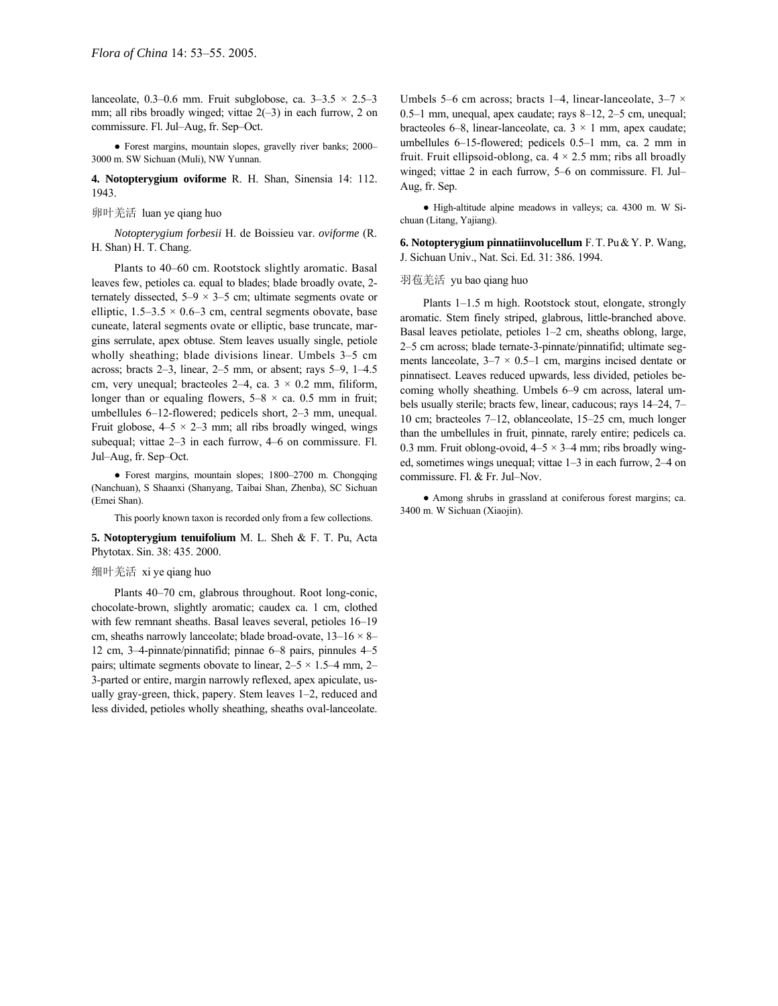lanceolate, 0.3–0.6 mm. Fruit subglobose, ca.  $3-3.5 \times 2.5-3$ mm; all ribs broadly winged; vittae  $2(-3)$  in each furrow, 2 on commissure. Fl. Jul-Aug, fr. Sep-Oct.

• Forest margins, mountain slopes, gravelly river banks; 2000– 3000 m. SW Sichuan (Muli), NW Yunnan.

**4. Notopterygium oviforme** R. H. Shan, Sinensia 14: 112. 1943.

# 卵叶羌活 luan ye qiang huo

*Notopterygium forbesii* H. de Boissieu var. *oviforme* (R. H. Shan) H. T. Chang.

Plants to 40–60 cm. Rootstock slightly aromatic. Basal leaves few, petioles ca. equal to blades; blade broadly ovate, 2 ternately dissected,  $5-9 \times 3-5$  cm; ultimate segments ovate or elliptic,  $1.5-3.5 \times 0.6-3$  cm, central segments obovate, base cuneate, lateral segments ovate or elliptic, base truncate, margins serrulate, apex obtuse. Stem leaves usually single, petiole wholly sheathing; blade divisions linear. Umbels  $3-5$  cm across; bracts  $2-3$ , linear,  $2-5$  mm, or absent; rays  $5-9$ ,  $1-4.5$ cm, very unequal; bracteoles  $2-4$ , ca.  $3 \times 0.2$  mm, filiform, longer than or equaling flowers,  $5-8 \times ca$ . 0.5 mm in fruit; umbellules  $6-12$ -flowered; pedicels short,  $2-3$  mm, unequal. Fruit globose,  $4-5 \times 2-3$  mm; all ribs broadly winged, wings subequal; vittae  $2-3$  in each furrow,  $4-6$  on commissure. Fl. Jul–Aug, fr. Sep–Oct.

• Forest margins, mountain slopes; 1800-2700 m. Chongqing (Nanchuan), S Shaanxi (Shanyang, Taibai Shan, Zhenba), SC Sichuan (Emei Shan).

This poorly known taxon is recorded only from a few collections.

**5. Notopterygium tenuifolium** M. L. Sheh & F. T. Pu, Acta Phytotax. Sin. 38: 435. 2000.

#### 细叶羌活 xi ye qiang huo

Plants 40-70 cm, glabrous throughout. Root long-conic, chocolate-brown, slightly aromatic; caudex ca. 1 cm, clothed with few remnant sheaths. Basal leaves several, petioles 16-19 cm, sheaths narrowly lanceolate; blade broad-ovate,  $13-16 \times 8$ 12 cm, 3–4-pinnate/pinnatifid; pinnae 6–8 pairs, pinnules  $4-5$ pairs; ultimate segments obovate to linear,  $2-5 \times 1.5-4$  mm, 2-3-parted or entire, margin narrowly reflexed, apex apiculate, usually gray-green, thick, papery. Stem leaves  $1-2$ , reduced and less divided, petioles wholly sheathing, sheaths oval-lanceolate. Umbels 5–6 cm across; bracts 1–4, linear-lanceolate,  $3-7 \times$ 0.5 $-1$  mm, unequal, apex caudate; rays 8 $-12$ , 2 $-5$  cm, unequal; bracteoles 6–8, linear-lanceolate, ca.  $3 \times 1$  mm, apex caudate; umbellules  $6-15$ -flowered; pedicels  $0.5-1$  mm, ca. 2 mm in fruit. Fruit ellipsoid-oblong, ca.  $4 \times 2.5$  mm; ribs all broadly winged; vittae 2 in each furrow, 5–6 on commissure. Fl. Jul– Aug, fr. Sep.

● High-altitude alpine meadows in valleys; ca. 4300 m. W Sichuan (Litang, Yajiang).

**6. Notopterygium pinnatiinvolucellum** F.T. Pu&Y. P. Wang, J. Sichuan Univ., Nat. Sci. Ed. 31: 386. 1994.

### 羽苞羌活 yu bao qiang huo

Plants  $1-1.5$  m high. Rootstock stout, elongate, strongly aromatic. Stem finely striped, glabrous, little-branched above. Basal leaves petiolate, petioles  $1-2$  cm, sheaths oblong, large, 2-5 cm across; blade ternate-3-pinnate/pinnatifid; ultimate segments lanceolate,  $3-7 \times 0.5-1$  cm, margins incised dentate or pinnatisect. Leaves reduced upwards, less divided, petioles becoming wholly sheathing. Umbels 6–9 cm across, lateral umbels usually sterile; bracts few, linear, caducous; rays 14-24, 7-10 cm; bracteoles  $7-12$ , oblanceolate, 15 $-25$  cm, much longer than the umbellules in fruit, pinnate, rarely entire; pedicels ca. 0.3 mm. Fruit oblong-ovoid,  $4-5 \times 3-4$  mm; ribs broadly winged, sometimes wings unequal; vittae  $1-3$  in each furrow,  $2-4$  on commissure. Fl. & Fr. Jul–Nov.

● Among shrubs in grassland at coniferous forest margins; ca. 3400 m. W Sichuan (Xiaojin).